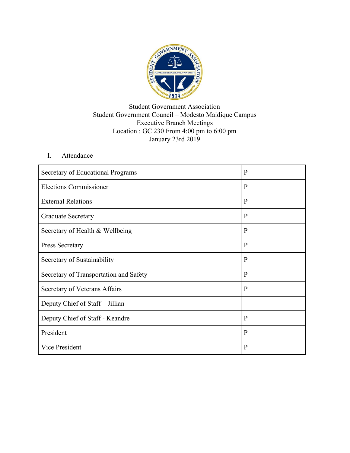

## Student Government Association Student Government Council – Modesto Maidique Campus Executive Branch Meetings Location : GC 230 From 4:00 pm to 6:00 pm January 23rd 2019

## I. Attendance

| Secretary of Educational Programs      | $\mathbf{P}$ |
|----------------------------------------|--------------|
| <b>Elections Commissioner</b>          | $\mathbf{P}$ |
| <b>External Relations</b>              | P            |
| <b>Graduate Secretary</b>              | $\mathbf{P}$ |
| Secretary of Health & Wellbeing        | $\mathbf{P}$ |
| <b>Press Secretary</b>                 | $\mathbf{P}$ |
| Secretary of Sustainability            | P            |
| Secretary of Transportation and Safety | $\mathbf{P}$ |
| Secretary of Veterans Affairs          | $\mathbf{P}$ |
| Deputy Chief of Staff – Jillian        |              |
| Deputy Chief of Staff - Keandre        | $\mathbf{P}$ |
| President                              | P            |
| Vice President                         | P            |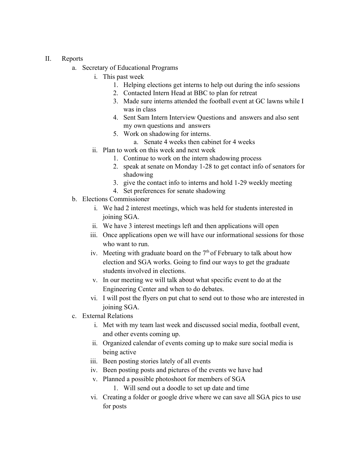## II. Reports

- a. Secretary of Educational Programs
	- i. This past week
		- 1. Helping elections get interns to help out during the info sessions
		- 2. Contacted Intern Head at BBC to plan for retreat
		- 3. Made sure interns attended the football event at GC lawns while I was in class
		- 4. Sent Sam Intern Interview Questions and answers and also sent my own questions and answers
		- 5. Work on shadowing for interns.
			- a. Senate 4 weeks then cabinet for 4 weeks
	- ii. Plan to work on this week and next week
		- 1. Continue to work on the intern shadowing process
		- 2. speak at senate on Monday 1-28 to get contact info of senators for shadowing
		- 3. give the contact info to interns and hold 1-29 weekly meeting
		- 4. Set preferences for senate shadowing
- b. Elections Commissioner
	- i. We had 2 interest meetings, which was held for students interested in joining SGA.
	- ii. We have 3 interest meetings left and then applications will open
	- iii. Once applications open we will have our informational sessions for those who want to run.
	- iv. Meeting with graduate board on the  $7<sup>th</sup>$  of February to talk about how election and SGA works. Going to find our ways to get the graduate students involved in elections.
	- v. In our meeting we will talk about what specific event to do at the Engineering Center and when to do debates.
	- vi. I will post the flyers on put chat to send out to those who are interested in joining SGA.
- c. External Relations
	- i. Met with my team last week and discussed social media, football event, and other events coming up.
	- ii. Organized calendar of events coming up to make sure social media is being active
	- iii. Been posting stories lately of all events
	- iv. Been posting posts and pictures of the events we have had
	- v. Planned a possible photoshoot for members of SGA
		- 1. Will send out a doodle to set up date and time
	- vi. Creating a folder or google drive where we can save all SGA pics to use for posts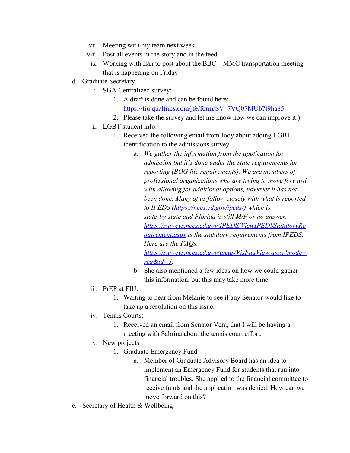- vii. Meeting with my team next week
- viii. Post all events in the story and in the feed
	- ix. Working with Ilan to post about the BBC MMC transportation meeting that is happening on Friday
- d. Graduate Secretary
	- i. SGA Centralized survey:
		- 1. A draft is done and can be found here: [https://fiu.qualtrics.com/jfe/form/SV\\_7VQ07MUb7t9ha85](https://urldefense.proofpoint.com/v2/url?u=https-3A__fiu.qualtrics.com_jfe_form_SV-5F7VQ07MUb7t9ha85&d=DwMFaQ&c=lhMMI368wojMYNABHh1gQQ&r=tNv0M_vJAN--M8BLC7cO5eZV54_XE3qQAsWde8g2X2E&m=MqUSuU07po3IhiFCX_gyszgyzr1a5SXCOAw5Dkcn1bU&s=Kbdd0P5jC9aUkSct7Ond_N9dua6Z_QNky2Chjp9t2JI&e=)
		- 2. Please take the survey and let me know how we can improve it:)
	- ii. LGBT student info:
		- 1. Received the following email from Jody about adding LGBT identification to the admissions survey
			- a. *We gather the information from the application for admission but it's done under the state requirements for reporting (BOG file requirements). We are members of professional organizations who are trying to move forward with allowing for additional options, however it has not been done. Many of us follow closely with what is reported to IPEDS [\(https://nces.ed.gov/ipeds/\)](https://urldefense.proofpoint.com/v2/url?u=https-3A__nces.ed.gov_ipeds_&d=DwMFaQ&c=lhMMI368wojMYNABHh1gQQ&r=tNv0M_vJAN--M8BLC7cO5eZV54_XE3qQAsWde8g2X2E&m=MqUSuU07po3IhiFCX_gyszgyzr1a5SXCOAw5Dkcn1bU&s=wsYuz8uRLa2tE65jN2t8YyfZTCbs4kMtcxlLgH1GD-k&e=) which is state-by-state and Florida is still M/F or no answer. [https://surveys.nces.ed.gov/IPEDS/ViewIPEDSStatutoryRe](https://surveys.nces.ed.gov/IPEDS/ViewIPEDSStatutoryRequirement.aspx) [quirement.aspx](https://surveys.nces.ed.gov/IPEDS/ViewIPEDSStatutoryRequirement.aspx) is the statutory requirements from IPEDS. Here are the FAQs,*

*[https://surveys.nces.ed.gov/ipeds/VisFaqView.aspx?mode=](https://surveys.nces.ed.gov/ipeds/VisFaqView.aspx?mode=reg&id=3) [reg&id=3.](https://surveys.nces.ed.gov/ipeds/VisFaqView.aspx?mode=reg&id=3)*

- b. She also mentioned a few ideas on how we could gather this information, but this may take more time.
- iii. PrEP at FIU:
	- 1. Waiting to hear from Melanie to see if any Senator would like to take up a resolution on this issue.
- iv. Tennis Courts:
	- 1. Received an email from Senator Vera, that I will be having a meeting with Sabrina about the tennis court effort.
- v. New projects
	- 1. Graduate Emergency Fund
		- a. Member of Graduate Advisory Board has an idea to implement an Emergency Fund for students that run into financial troubles. She applied to the financial committee to receive funds and the application was denied. How can we move forward on this?
- e. Secretary of Health & Wellbeing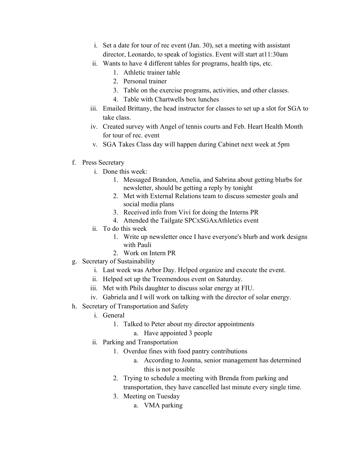- i. Set a date for tour of rec event (Jan. 30), set a meeting with assistant director, Leonardo, to speak of logistics. Event will start at11:30am
- ii. Wants to have 4 different tables for programs, health tips, etc.
	- 1. Athletic trainer table
	- 2. Personal trainer
	- 3. Table on the exercise programs, activities, and other classes.
	- 4. Table with Chartwells box lunches
- iii. Emailed Brittany, the head instructor for classes to set up a slot for SGA to take class.
- iv. Created survey with Angel of tennis courts and Feb. Heart Health Month for tour of rec. event
- v. SGA Takes Class day will happen during Cabinet next week at 5pm
- f. Press Secretary
	- i. Done this week:
		- 1. Messaged Brandon, Amelia, and Sabrina about getting blurbs for newsletter, should be getting a reply by tonight
		- 2. Met with External Relations team to discuss semester goals and social media plans
		- 3. Received info from Vivi for doing the Interns PR
		- 4. Attended the Tailgate SPCxSGAxAthletics event
	- ii. To do this week
		- 1. Write up newsletter once I have everyone's blurb and work designs with Pauli
		- 2. Work on Intern PR
- g. Secretary of Sustainability
	- i. Last week was Arbor Day. Helped organize and execute the event.
	- ii. Helped set up the Treemendous event on Saturday.
	- iii. Met with Phils daughter to discuss solar energy at FIU.
	- iv. Gabriela and I will work on talking with the director of solar energy.
- h. Secretary of Transportation and Safety
	- i. General
		- 1. Talked to Peter about my director appointments
			- a. Have appointed 3 people
	- ii. Parking and Transportation
		- 1. Overdue fines with food pantry contributions
			- a. According to Joanna, senior management has determined this is not possible
		- 2. Trying to schedule a meeting with Brenda from parking and transportation, they have cancelled last minute every single time.
		- 3. Meeting on Tuesday
			- a. VMA parking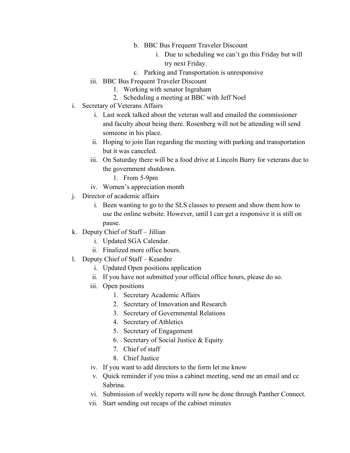- b. BBC Bus Frequent Traveler Discount
	- i. Due to scheduling we can't go this Friday but will try next Friday.
- c. Parking and Transportation is unresponsive
- iii. BBC Bus Frequent Traveler Discount
	- 1. Working with senator Ingraham
	- 2. Scheduling a meeting at BBC with Jeff Noel
- i. Secretary of Veterans Affairs
	- i. Last week talked about the veteran wall and emailed the commissioner and faculty about being there. Rosenberg will not be attending will send someone in his place.
	- ii. Hoping to join Ilan regarding the meeting with parking and transportation but it was canceled.
	- iii. On Saturday there will be a food drive at Lincoln Burry for veterans due to the government shutdown.
		- 1. From 5-9pm
	- iv. Women's appreciation month
- j. Director of academic affairs
	- i. Been wanting to go to the SLS classes to present and show them how to use the online website. However, until I can get a responsive it is still on pause.
- k. Deputy Chief of Staff Jillian
	- i. Updated SGA Calendar.
	- ii. Finalized more office hours.
- l. Deputy Chief of Staff Keandre
	- i. Updated Open positions application
	- ii. If you have not submitted your official office hours, please do so.
	- iii. Open positions
		- 1. Secretary Academic Affairs
		- 2. Secretary of Innovation and Research
		- 3. Secretary of Governmental Relations
		- 4. Secretary of Athletics
		- 5. Secretary of Engagement
		- 6. Secretary of Social Justice & Equity
		- 7. Chief of staff
		- 8. Chief Justice
	- iv. If you want to add directors to the form let me know
	- v. Quick reminder if you miss a cabinet meeting, send me an email and cc Sabrina.
	- vi. Submission of weekly reports will now be done through Panther Connect.
	- vii. Start sending out recaps of the cabinet minutes